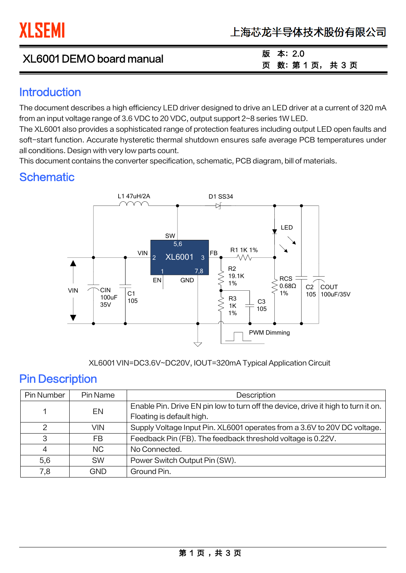| XL6001 DEMO board manual | 版 本: 2.0    |  |
|--------------------------|-------------|--|
|                          | 页 数:第1页,共3页 |  |

# **Introduction**

The document describes a high efficiency LED driver designed to drive an LED driver at a current of 320 mA from an input voltage range of 3.6 VDC to 20 VDC, output support 2~8 series 1W LED.

The XL6001 also provides a sophisticated range of protection features including output LED open faults and soft-start function. Accurate hysteretic thermal shutdown ensures safe average PCB temperatures under all conditions. Design with very low parts count.

This document contains the converter specification, schematic, PCB diagram, bill of materials.

# **Schematic**



XL6001 VIN=DC3.6V~DC20V, IOUT=320mA Typical Application Circuit

# Pin Description

 $\overline{a}$ 

| <b>Pin Number</b> | Pin Name   | Description                                                                       |
|-------------------|------------|-----------------------------------------------------------------------------------|
|                   | EN         | Enable Pin. Drive EN pin low to turn off the device, drive it high to turn it on. |
|                   |            | Floating is default high.                                                         |
| $\mathcal{P}$     | VIN        | Supply Voltage Input Pin. XL6001 operates from a 3.6V to 20V DC voltage.          |
| 3                 | FB.        | Feedback Pin (FB). The feedback threshold voltage is 0.22V.                       |
| 4                 | <b>NC</b>  | No Connected.                                                                     |
| 5,6               | <b>SW</b>  | Power Switch Output Pin (SW).                                                     |
| 7,8               | <b>GND</b> | Ground Pin.                                                                       |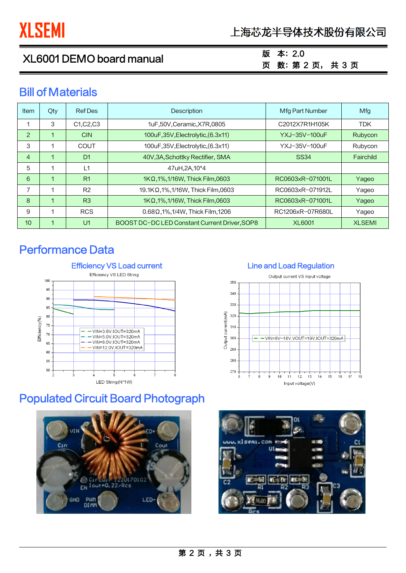# 上海芯龙半导体技术股份有限公司

### XL6001 DEMO board manual

版 本:2.0 页 数:第 2 页, 共 3 页

# Bill of Materials

| <b>Item</b>    | Qty | <b>Ref Des</b> | Description                                   | Mfg Part Number  | Mfg           |
|----------------|-----|----------------|-----------------------------------------------|------------------|---------------|
|                | 3   | C1, C2, C3     | 1uF,50V, Ceramic, X7R, 0805                   | C2012X7R1H105K   | <b>TDK</b>    |
| $\overline{2}$ | ◢   | <b>CIN</b>     | 100uF,35V, Electrolytic, (6.3x11)             | YXJ-35V-100uF    | Rubycon       |
| 3              | 1   | COUT           | 100uF,35V,Electrolytic,(6.3x11)               | YXJ-35V-100uF    | Rubycon       |
| $\overline{4}$ | 1   | D <sub>1</sub> | 40V, 3A, Schottky Rectifier, SMA              | <b>SS34</b>      | Fairchild     |
| 5              | 1   | L1             | 47uH,2A,10*4                                  |                  |               |
| 6              | 1   | R <sub>1</sub> | 1KΩ, 1%, 1/16W, Thick Film, 0603              | RC0603xR-071001L | Yageo         |
| 7              | 1   | R <sub>2</sub> | 19.1KΩ, 1%, 1/16W, Thick Film, 0603           | RC0603xR-071912L | Yageo         |
| 8              | 1   | R3             | 1KΩ, 1%, 1/16W, Thick Film, 0603              | RC0603xR-071001L | Yageo         |
| 9              | 1   | <b>RCS</b>     | $0.68 \Omega$ , 1%, 1/4W, Thick Film, 1206    | RC1206xR-07R680L | Yageo         |
| 10             | -1  | U <sub>1</sub> | BOOST DC-DC LED Constant Current Driver, SOP8 | <b>XL6001</b>    | <b>XLSEMI</b> |

# Performance Data

 $\overline{a}$ 





# Populated Circuit Board Photograph





### 第 2 页, 共 3 页